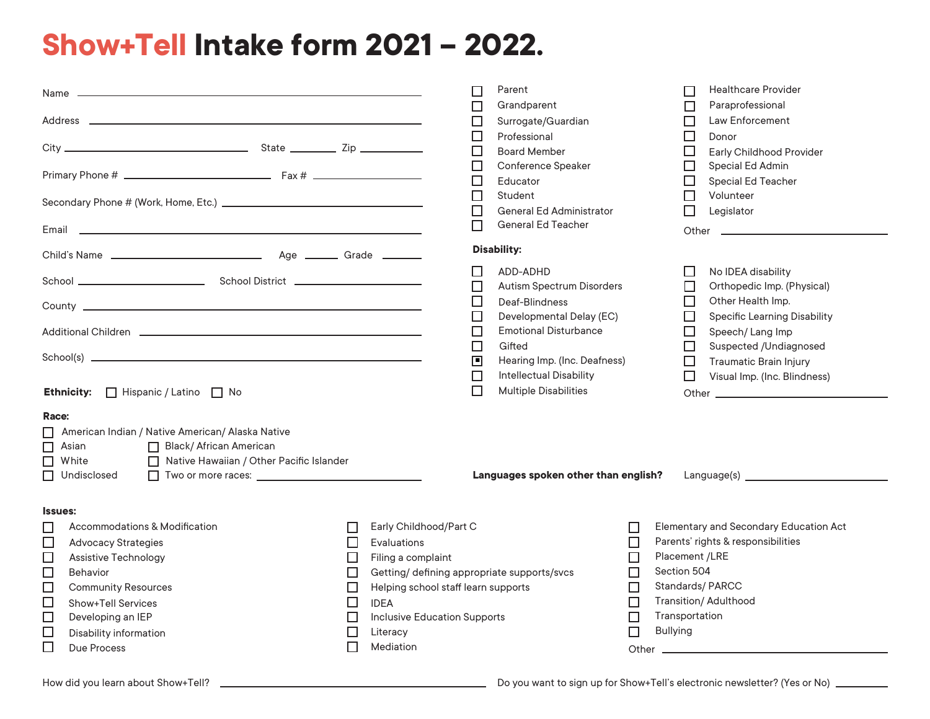## **Show+Tell Intake form 2021 – 2022.**

| the control of the control of the control of the control of the control of the control of the control of the control of the control of the control of the control of the control of the control of the control of the control<br>Name — |                                          | Parent<br>$\mathbf{L}$                     |                           | <b>Healthcare Provider</b><br>П               |
|-----------------------------------------------------------------------------------------------------------------------------------------------------------------------------------------------------------------------------------------|------------------------------------------|--------------------------------------------|---------------------------|-----------------------------------------------|
|                                                                                                                                                                                                                                         |                                          | Grandparent<br>$\Box$                      |                           | Paraprofessional<br>П                         |
|                                                                                                                                                                                                                                         |                                          | Surrogate/Guardian<br>ப                    |                           | Law Enforcement<br>$\Box$                     |
|                                                                                                                                                                                                                                         |                                          | □<br>Professional                          |                           | $\Box$<br>Donor                               |
|                                                                                                                                                                                                                                         |                                          | □<br><b>Board Member</b>                   |                           | $\Box$<br><b>Early Childhood Provider</b>     |
|                                                                                                                                                                                                                                         |                                          | $\Box$<br>Conference Speaker               |                           | $\Box$<br>Special Ed Admin                    |
|                                                                                                                                                                                                                                         |                                          | $\Box$<br>Educator                         |                           | $\Box$<br>Special Ed Teacher                  |
|                                                                                                                                                                                                                                         |                                          | □<br>Student                               |                           | Volunteer<br>$\Box$                           |
|                                                                                                                                                                                                                                         |                                          | $\Box$<br><b>General Ed Administrator</b>  |                           | Legislator<br>□                               |
|                                                                                                                                                                                                                                         |                                          | <b>General Ed Teacher</b><br>$\mathsf{L}$  |                           |                                               |
|                                                                                                                                                                                                                                         |                                          | <b>Disability:</b>                         |                           |                                               |
|                                                                                                                                                                                                                                         |                                          | ADD-ADHD<br>ப                              |                           | ⊔<br>No IDEA disability                       |
|                                                                                                                                                                                                                                         |                                          | Autism Spectrum Disorders<br>□             |                           | Orthopedic Imp. (Physical)<br>$\Box$          |
|                                                                                                                                                                                                                                         |                                          | ப<br>Deaf-Blindness                        |                           | Other Health Imp.<br>$\Box$                   |
|                                                                                                                                                                                                                                         |                                          | $\Box$<br>Developmental Delay (EC)         |                           | $\Box$<br><b>Specific Learning Disability</b> |
|                                                                                                                                                                                                                                         |                                          | <b>Emotional Disturbance</b><br>$\Box$     |                           | $\Box$<br>Speech/Lang Imp                     |
|                                                                                                                                                                                                                                         |                                          | □<br>Gifted                                |                           | □<br>Suspected /Undiagnosed                   |
|                                                                                                                                                                                                                                         |                                          | $\Box$<br>Hearing Imp. (Inc. Deafness)     |                           | $\Box$<br><b>Traumatic Brain Injury</b>       |
|                                                                                                                                                                                                                                         |                                          | <b>Intellectual Disability</b><br>□        |                           | $\Box$<br>Visual Imp. (Inc. Blindness)        |
| □ Hispanic / Latino □ No<br><b>Ethnicity:</b>                                                                                                                                                                                           |                                          | П<br><b>Multiple Disabilities</b>          |                           |                                               |
| Race:                                                                                                                                                                                                                                   |                                          |                                            |                           |                                               |
| American Indian / Native American/ Alaska Native<br>$\Box$                                                                                                                                                                              |                                          |                                            |                           |                                               |
| $\Box$<br>Black/African American<br>Asian                                                                                                                                                                                               |                                          |                                            |                           |                                               |
| $\Box$<br>□ Native Hawaiian / Other Pacific Islander<br>White                                                                                                                                                                           |                                          |                                            |                           |                                               |
| Undisclosed<br>□ Two or more races: <u>______________________________</u>                                                                                                                                                               |                                          | Languages spoken other than english?       |                           |                                               |
|                                                                                                                                                                                                                                         |                                          |                                            |                           |                                               |
|                                                                                                                                                                                                                                         |                                          |                                            |                           |                                               |
| <b>Issues:</b>                                                                                                                                                                                                                          |                                          |                                            |                           |                                               |
| Accommodations & Modification<br>ப                                                                                                                                                                                                      | Early Childhood/Part C<br>$\Box$         |                                            | ப                         | Elementary and Secondary Education Act        |
| $\Box$<br><b>Advocacy Strategies</b>                                                                                                                                                                                                    | $\Box$<br><b>Evaluations</b>             |                                            | $\Box$                    | Parents' rights & responsibilities            |
| $\Box$<br><b>Assistive Technology</b>                                                                                                                                                                                                   | □<br>Filing a complaint                  |                                            | □                         | Placement /LRE                                |
| $\Box$<br>Behavior                                                                                                                                                                                                                      | □                                        | Getting/defining appropriate supports/svcs | $\Box$                    | Section 504                                   |
| $\Box$<br><b>Community Resources</b>                                                                                                                                                                                                    | Helping school staff learn supports<br>□ |                                            | $\Box$                    | Standards/PARCC                               |
| $\Box$<br><b>Show+Tell Services</b>                                                                                                                                                                                                     | □<br><b>IDEA</b>                         |                                            | $\Box$                    | <b>Transition/ Adulthood</b>                  |
| $\Box$<br>Developing an IEP                                                                                                                                                                                                             | <b>Inclusive Education Supports</b><br>□ |                                            | П                         | Transportation                                |
| $\Box$<br>Disability information                                                                                                                                                                                                        | $\Box$<br>Literacy                       |                                            | <b>Bullying</b><br>$\Box$ |                                               |
| $\Box$<br>Due Process                                                                                                                                                                                                                   | $\Box$<br><b>Mediation</b>               |                                            | Other _                   |                                               |